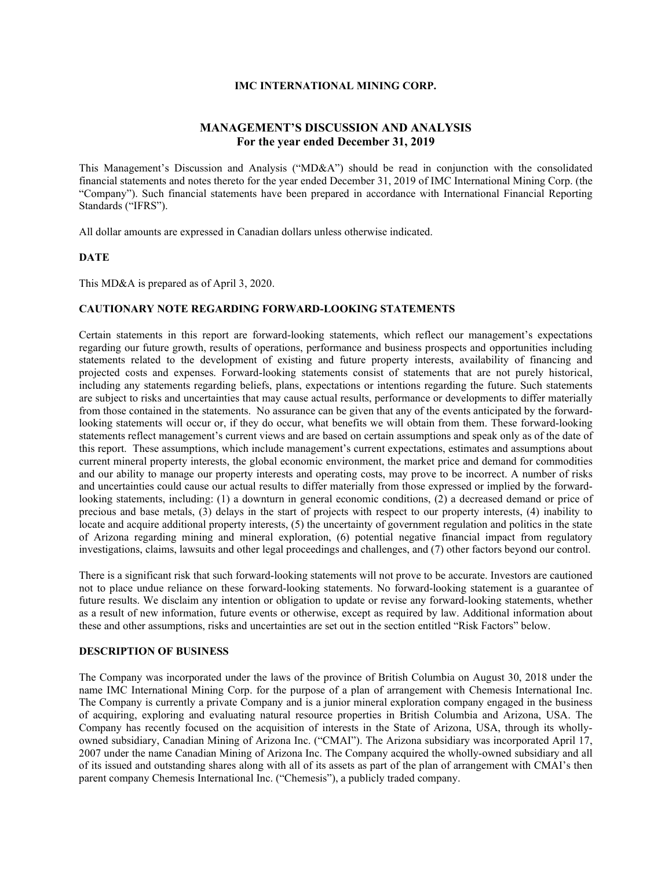## **IMC INTERNATIONAL MINING CORP.**

# **MANAGEMENT'S DISCUSSION AND ANALYSIS For the year ended December 31, 2019**

This Management's Discussion and Analysis ("MD&A") should be read in conjunction with the consolidated financial statements and notes thereto for the year ended December 31, 2019 of IMC International Mining Corp. (the "Company"). Such financial statements have been prepared in accordance with International Financial Reporting Standards ("IFRS").

All dollar amounts are expressed in Canadian dollars unless otherwise indicated.

#### **DATE**

This MD&A is prepared as of April 3, 2020.

## **CAUTIONARY NOTE REGARDING FORWARD-LOOKING STATEMENTS**

Certain statements in this report are forward-looking statements, which reflect our management's expectations regarding our future growth, results of operations, performance and business prospects and opportunities including statements related to the development of existing and future property interests, availability of financing and projected costs and expenses. Forward-looking statements consist of statements that are not purely historical, including any statements regarding beliefs, plans, expectations or intentions regarding the future. Such statements are subject to risks and uncertainties that may cause actual results, performance or developments to differ materially from those contained in the statements. No assurance can be given that any of the events anticipated by the forwardlooking statements will occur or, if they do occur, what benefits we will obtain from them. These forward-looking statements reflect management's current views and are based on certain assumptions and speak only as of the date of this report. These assumptions, which include management's current expectations, estimates and assumptions about current mineral property interests, the global economic environment, the market price and demand for commodities and our ability to manage our property interests and operating costs, may prove to be incorrect. A number of risks and uncertainties could cause our actual results to differ materially from those expressed or implied by the forwardlooking statements, including: (1) a downturn in general economic conditions, (2) a decreased demand or price of precious and base metals, (3) delays in the start of projects with respect to our property interests, (4) inability to locate and acquire additional property interests, (5) the uncertainty of government regulation and politics in the state of Arizona regarding mining and mineral exploration, (6) potential negative financial impact from regulatory investigations, claims, lawsuits and other legal proceedings and challenges, and (7) other factors beyond our control.

There is a significant risk that such forward-looking statements will not prove to be accurate. Investors are cautioned not to place undue reliance on these forward-looking statements. No forward-looking statement is a guarantee of future results. We disclaim any intention or obligation to update or revise any forward-looking statements, whether as a result of new information, future events or otherwise, except as required by law. Additional information about these and other assumptions, risks and uncertainties are set out in the section entitled "Risk Factors" below.

## **DESCRIPTION OF BUSINESS**

The Company was incorporated under the laws of the province of British Columbia on August 30, 2018 under the name IMC International Mining Corp. for the purpose of a plan of arrangement with Chemesis International Inc. The Company is currently a private Company and is a junior mineral exploration company engaged in the business of acquiring, exploring and evaluating natural resource properties in British Columbia and Arizona, USA. The Company has recently focused on the acquisition of interests in the State of Arizona, USA, through its whollyowned subsidiary, Canadian Mining of Arizona Inc. ("CMAI"). The Arizona subsidiary was incorporated April 17, 2007 under the name Canadian Mining of Arizona Inc. The Company acquired the wholly-owned subsidiary and all of its issued and outstanding shares along with all of its assets as part of the plan of arrangement with CMAI's then parent company Chemesis International Inc. ("Chemesis"), a publicly traded company.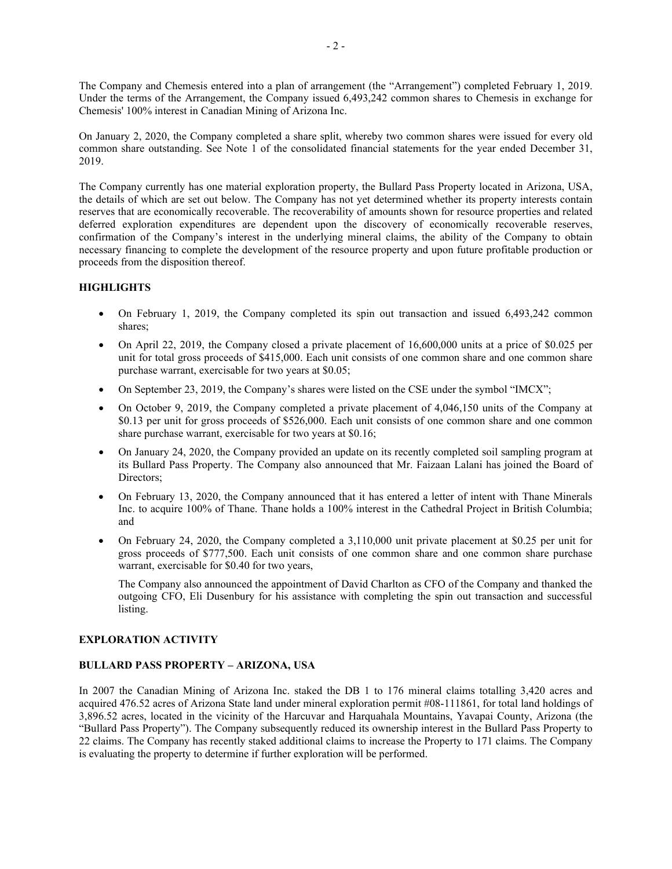The Company and Chemesis entered into a plan of arrangement (the "Arrangement") completed February 1, 2019. Under the terms of the Arrangement, the Company issued 6,493,242 common shares to Chemesis in exchange for Chemesis' 100% interest in Canadian Mining of Arizona Inc.

On January 2, 2020, the Company completed a share split, whereby two common shares were issued for every old common share outstanding. See Note 1 of the consolidated financial statements for the year ended December 31, 2019.

The Company currently has one material exploration property, the Bullard Pass Property located in Arizona, USA, the details of which are set out below. The Company has not yet determined whether its property interests contain reserves that are economically recoverable. The recoverability of amounts shown for resource properties and related deferred exploration expenditures are dependent upon the discovery of economically recoverable reserves, confirmation of the Company's interest in the underlying mineral claims, the ability of the Company to obtain necessary financing to complete the development of the resource property and upon future profitable production or proceeds from the disposition thereof.

# **HIGHLIGHTS**

- On February 1, 2019, the Company completed its spin out transaction and issued 6,493,242 common shares;
- On April 22, 2019, the Company closed a private placement of 16,600,000 units at a price of \$0.025 per unit for total gross proceeds of \$415,000. Each unit consists of one common share and one common share purchase warrant, exercisable for two years at \$0.05;
- On September 23, 2019, the Company's shares were listed on the CSE under the symbol "IMCX";
- On October 9, 2019, the Company completed a private placement of 4,046,150 units of the Company at \$0.13 per unit for gross proceeds of \$526,000. Each unit consists of one common share and one common share purchase warrant, exercisable for two years at \$0.16;
- On January 24, 2020, the Company provided an update on its recently completed soil sampling program at its Bullard Pass Property. The Company also announced that Mr. Faizaan Lalani has joined the Board of Directors;
- On February 13, 2020, the Company announced that it has entered a letter of intent with Thane Minerals Inc. to acquire 100% of Thane. Thane holds a 100% interest in the Cathedral Project in British Columbia; and
- On February 24, 2020, the Company completed a 3,110,000 unit private placement at \$0.25 per unit for gross proceeds of \$777,500. Each unit consists of one common share and one common share purchase warrant, exercisable for \$0.40 for two years,

The Company also announced the appointment of David Charlton as CFO of the Company and thanked the outgoing CFO, Eli Dusenbury for his assistance with completing the spin out transaction and successful listing.

# **EXPLORATION ACTIVITY**

### **BULLARD PASS PROPERTY – ARIZONA, USA**

In 2007 the Canadian Mining of Arizona Inc. staked the DB 1 to 176 mineral claims totalling 3,420 acres and acquired 476.52 acres of Arizona State land under mineral exploration permit #08-111861, for total land holdings of 3,896.52 acres, located in the vicinity of the Harcuvar and Harquahala Mountains, Yavapai County, Arizona (the "Bullard Pass Property"). The Company subsequently reduced its ownership interest in the Bullard Pass Property to 22 claims. The Company has recently staked additional claims to increase the Property to 171 claims. The Company is evaluating the property to determine if further exploration will be performed.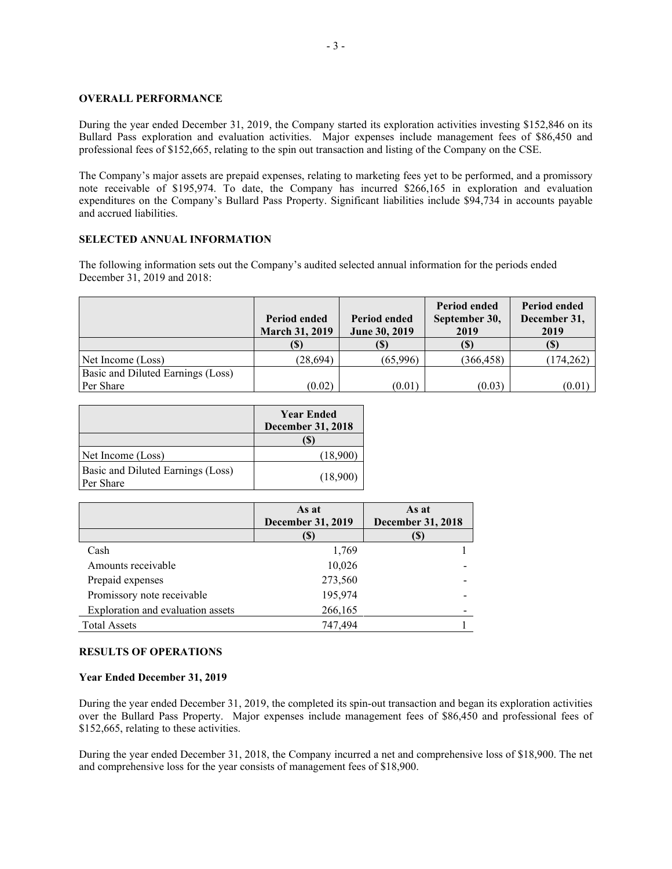#### **OVERALL PERFORMANCE**

During the year ended December 31, 2019, the Company started its exploration activities investing \$152,846 on its Bullard Pass exploration and evaluation activities. Major expenses include management fees of \$86,450 and professional fees of \$152,665, relating to the spin out transaction and listing of the Company on the CSE.

The Company's major assets are prepaid expenses, relating to marketing fees yet to be performed, and a promissory note receivable of \$195,974. To date, the Company has incurred \$266,165 in exploration and evaluation expenditures on the Company's Bullard Pass Property. Significant liabilities include \$94,734 in accounts payable and accrued liabilities.

### **SELECTED ANNUAL INFORMATION**

The following information sets out the Company's audited selected annual information for the periods ended December 31, 2019 and 2018:

|                                   | <b>Period ended</b><br><b>March 31, 2019</b> | <b>Period ended</b><br>June 30, 2019 | <b>Period ended</b><br>September 30,<br>2019 | <b>Period ended</b><br>December 31,<br>2019 |
|-----------------------------------|----------------------------------------------|--------------------------------------|----------------------------------------------|---------------------------------------------|
|                                   |                                              | (\$)                                 | (S)                                          | (\$`                                        |
| Net Income (Loss)                 | (28, 694)                                    | (65,996)                             | (366, 458)                                   | (174, 262)                                  |
| Basic and Diluted Earnings (Loss) |                                              |                                      |                                              |                                             |
| Per Share                         | (0.02)                                       | (0.01)                               | (0.03)                                       | (0.01)                                      |

|                                                | <b>Year Ended</b><br><b>December 31, 2018</b> |
|------------------------------------------------|-----------------------------------------------|
|                                                | ΙDΙ                                           |
| Net Income (Loss)                              | (18,900)                                      |
| Basic and Diluted Earnings (Loss)<br>Per Share | (18,900)                                      |

|                                   | As at<br><b>December 31, 2019</b> | As at<br><b>December 31, 2018</b> |
|-----------------------------------|-----------------------------------|-----------------------------------|
|                                   |                                   | (S)                               |
| Cash                              | 1,769                             |                                   |
| Amounts receivable                | 10,026                            |                                   |
| Prepaid expenses                  | 273,560                           |                                   |
| Promissory note receivable        | 195,974                           |                                   |
| Exploration and evaluation assets | 266,165                           |                                   |
| <b>Total Assets</b>               | 747.494                           |                                   |

## **RESULTS OF OPERATIONS**

### **Year Ended December 31, 2019**

During the year ended December 31, 2019, the completed its spin-out transaction and began its exploration activities over the Bullard Pass Property. Major expenses include management fees of \$86,450 and professional fees of \$152,665, relating to these activities.

During the year ended December 31, 2018, the Company incurred a net and comprehensive loss of \$18,900. The net and comprehensive loss for the year consists of management fees of \$18,900.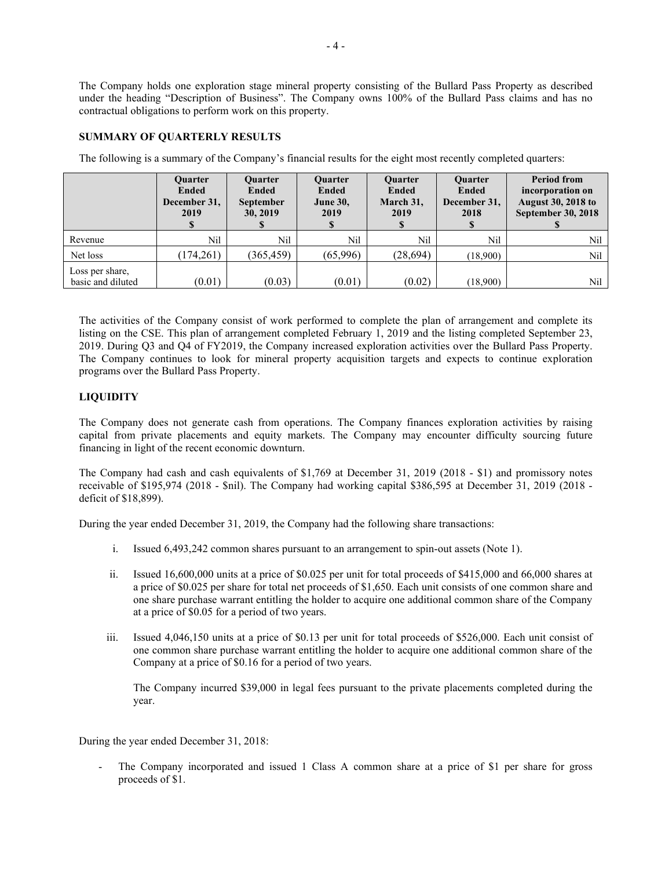The Company holds one exploration stage mineral property consisting of the Bullard Pass Property as described under the heading "Description of Business". The Company owns 100% of the Bullard Pass claims and has no contractual obligations to perform work on this property.

# **SUMMARY OF QUARTERLY RESULTS**

The following is a summary of the Company's financial results for the eight most recently completed quarters:

|                                      | <b>Ouarter</b><br><b>Ended</b><br>December 31,<br>2019 | <b>Ouarter</b><br><b>Ended</b><br><b>September</b><br>30, 2019 | <b>Ouarter</b><br><b>Ended</b><br><b>June 30,</b><br>2019 | <b>Ouarter</b><br><b>Ended</b><br>March 31,<br>2019<br>Φ | <b>Ouarter</b><br><b>Ended</b><br>December 31,<br>2018 | <b>Period from</b><br>incorporation on<br><b>August 30, 2018 to</b><br><b>September 30, 2018</b> |
|--------------------------------------|--------------------------------------------------------|----------------------------------------------------------------|-----------------------------------------------------------|----------------------------------------------------------|--------------------------------------------------------|--------------------------------------------------------------------------------------------------|
| Revenue                              | Nil                                                    | Nil                                                            | Nil                                                       | Nil                                                      | Nil                                                    | Nil                                                                                              |
| Net loss                             | (174,261)                                              | (365, 459)                                                     | (65,996)                                                  | (28, 694)                                                | (18,900)                                               | Nil                                                                                              |
| Loss per share,<br>basic and diluted | (0.01)                                                 | (0.03)                                                         | (0.01)                                                    | (0.02)                                                   | (18,900)                                               | Nil                                                                                              |

The activities of the Company consist of work performed to complete the plan of arrangement and complete its listing on the CSE. This plan of arrangement completed February 1, 2019 and the listing completed September 23, 2019. During Q3 and Q4 of FY2019, the Company increased exploration activities over the Bullard Pass Property. The Company continues to look for mineral property acquisition targets and expects to continue exploration programs over the Bullard Pass Property.

## **LIQUIDITY**

The Company does not generate cash from operations. The Company finances exploration activities by raising capital from private placements and equity markets. The Company may encounter difficulty sourcing future financing in light of the recent economic downturn.

The Company had cash and cash equivalents of \$1,769 at December 31, 2019 (2018 - \$1) and promissory notes receivable of \$195,974 (2018 - \$nil). The Company had working capital \$386,595 at December 31, 2019 (2018 deficit of \$18,899).

During the year ended December 31, 2019, the Company had the following share transactions:

- i. Issued 6,493,242 common shares pursuant to an arrangement to spin-out assets (Note 1).
- ii. Issued 16,600,000 units at a price of \$0.025 per unit for total proceeds of \$415,000 and 66,000 shares at a price of \$0.025 per share for total net proceeds of \$1,650. Each unit consists of one common share and one share purchase warrant entitling the holder to acquire one additional common share of the Company at a price of \$0.05 for a period of two years.
- iii. Issued 4,046,150 units at a price of \$0.13 per unit for total proceeds of \$526,000. Each unit consist of one common share purchase warrant entitling the holder to acquire one additional common share of the Company at a price of \$0.16 for a period of two years.

The Company incurred \$39,000 in legal fees pursuant to the private placements completed during the year.

During the year ended December 31, 2018:

The Company incorporated and issued 1 Class A common share at a price of \$1 per share for gross proceeds of \$1.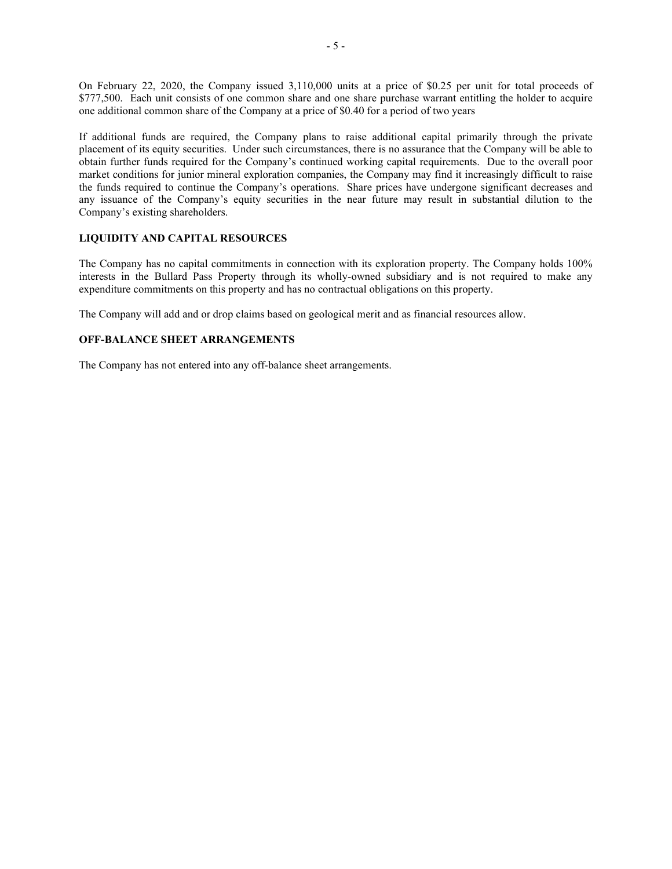On February 22, 2020, the Company issued 3,110,000 units at a price of \$0.25 per unit for total proceeds of \$777,500. Each unit consists of one common share and one share purchase warrant entitling the holder to acquire one additional common share of the Company at a price of \$0.40 for a period of two years

If additional funds are required, the Company plans to raise additional capital primarily through the private placement of its equity securities. Under such circumstances, there is no assurance that the Company will be able to obtain further funds required for the Company's continued working capital requirements. Due to the overall poor market conditions for junior mineral exploration companies, the Company may find it increasingly difficult to raise the funds required to continue the Company's operations. Share prices have undergone significant decreases and any issuance of the Company's equity securities in the near future may result in substantial dilution to the Company's existing shareholders.

# **LIQUIDITY AND CAPITAL RESOURCES**

The Company has no capital commitments in connection with its exploration property. The Company holds 100% interests in the Bullard Pass Property through its wholly-owned subsidiary and is not required to make any expenditure commitments on this property and has no contractual obligations on this property.

The Company will add and or drop claims based on geological merit and as financial resources allow.

## **OFF-BALANCE SHEET ARRANGEMENTS**

The Company has not entered into any off-balance sheet arrangements.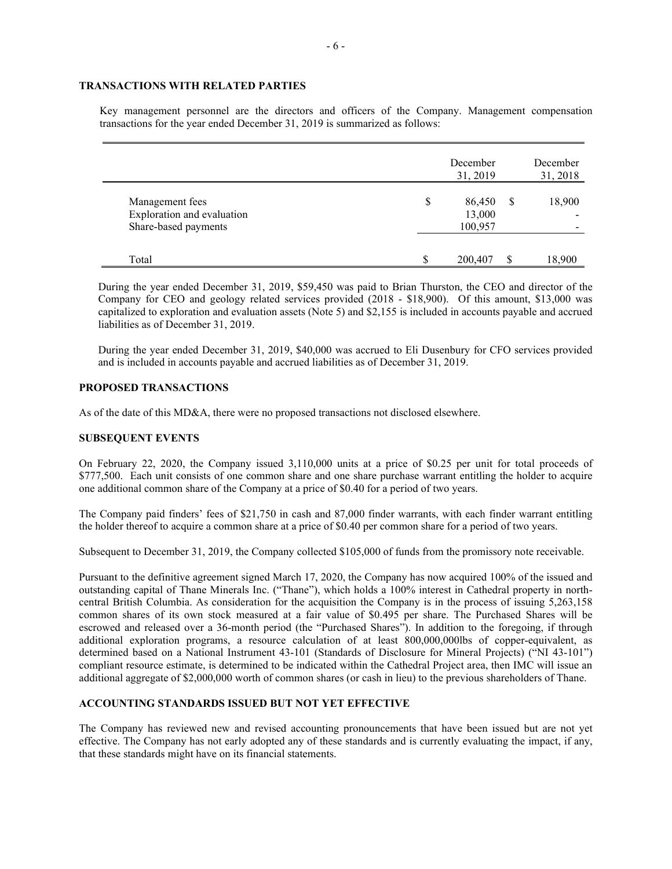## **TRANSACTIONS WITH RELATED PARTIES**

Key management personnel are the directors and officers of the Company. Management compensation transactions for the year ended December 31, 2019 is summarized as follows:

|                                               |    | December<br>31, 2019 |   | December<br>31, 2018 |
|-----------------------------------------------|----|----------------------|---|----------------------|
| Management fees<br>Exploration and evaluation | \$ | 86,450<br>13,000     | S | 18,900               |
| Share-based payments<br>Total                 | S  | 100,957<br>200,407   |   | 18,900               |

During the year ended December 31, 2019, \$59,450 was paid to Brian Thurston, the CEO and director of the Company for CEO and geology related services provided (2018 - \$18,900). Of this amount, \$13,000 was capitalized to exploration and evaluation assets (Note 5) and \$2,155 is included in accounts payable and accrued liabilities as of December 31, 2019.

During the year ended December 31, 2019, \$40,000 was accrued to Eli Dusenbury for CFO services provided and is included in accounts payable and accrued liabilities as of December 31, 2019.

## **PROPOSED TRANSACTIONS**

As of the date of this MD&A, there were no proposed transactions not disclosed elsewhere.

#### **SUBSEQUENT EVENTS**

On February 22, 2020, the Company issued 3,110,000 units at a price of \$0.25 per unit for total proceeds of \$777,500. Each unit consists of one common share and one share purchase warrant entitling the holder to acquire one additional common share of the Company at a price of \$0.40 for a period of two years.

The Company paid finders' fees of \$21,750 in cash and 87,000 finder warrants, with each finder warrant entitling the holder thereof to acquire a common share at a price of \$0.40 per common share for a period of two years.

Subsequent to December 31, 2019, the Company collected \$105,000 of funds from the promissory note receivable.

Pursuant to the definitive agreement signed March 17, 2020, the Company has now acquired 100% of the issued and outstanding capital of Thane Minerals Inc. ("Thane"), which holds a 100% interest in Cathedral property in northcentral British Columbia. As consideration for the acquisition the Company is in the process of issuing 5,263,158 common shares of its own stock measured at a fair value of \$0.495 per share. The Purchased Shares will be escrowed and released over a 36-month period (the "Purchased Shares"). In addition to the foregoing, if through additional exploration programs, a resource calculation of at least 800,000,000lbs of copper-equivalent, as determined based on a National Instrument 43-101 (Standards of Disclosure for Mineral Projects) ("NI 43-101") compliant resource estimate, is determined to be indicated within the Cathedral Project area, then IMC will issue an additional aggregate of \$2,000,000 worth of common shares (or cash in lieu) to the previous shareholders of Thane.

## **ACCOUNTING STANDARDS ISSUED BUT NOT YET EFFECTIVE**

The Company has reviewed new and revised accounting pronouncements that have been issued but are not yet effective. The Company has not early adopted any of these standards and is currently evaluating the impact, if any, that these standards might have on its financial statements.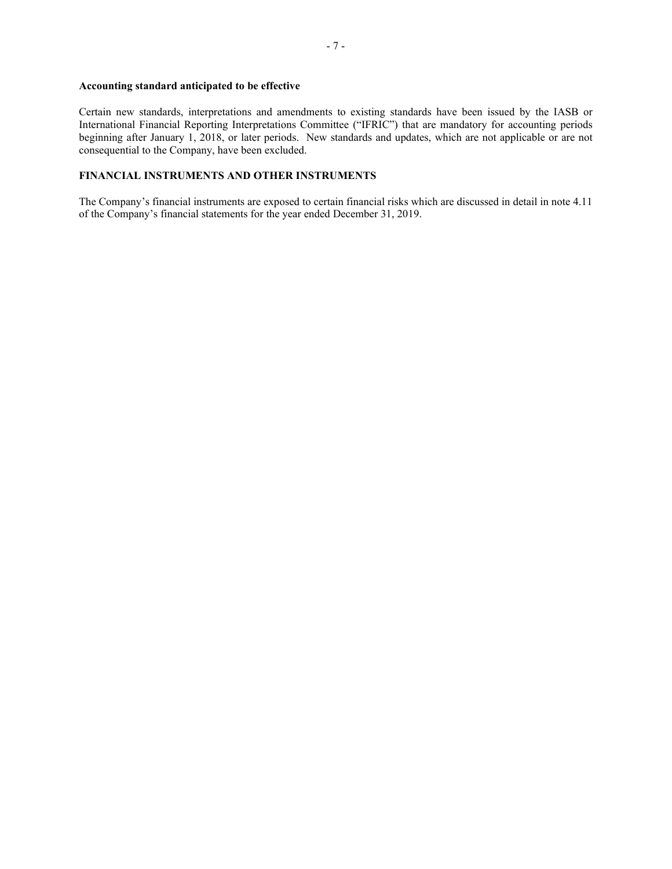## **Accounting standard anticipated to be effective**

Certain new standards, interpretations and amendments to existing standards have been issued by the IASB or International Financial Reporting Interpretations Committee ("IFRIC") that are mandatory for accounting periods beginning after January 1, 2018, or later periods. New standards and updates, which are not applicable or are not consequential to the Company, have been excluded.

# **FINANCIAL INSTRUMENTS AND OTHER INSTRUMENTS**

The Company's financial instruments are exposed to certain financial risks which are discussed in detail in note 4.11 of the Company's financial statements for the year ended December 31, 2019.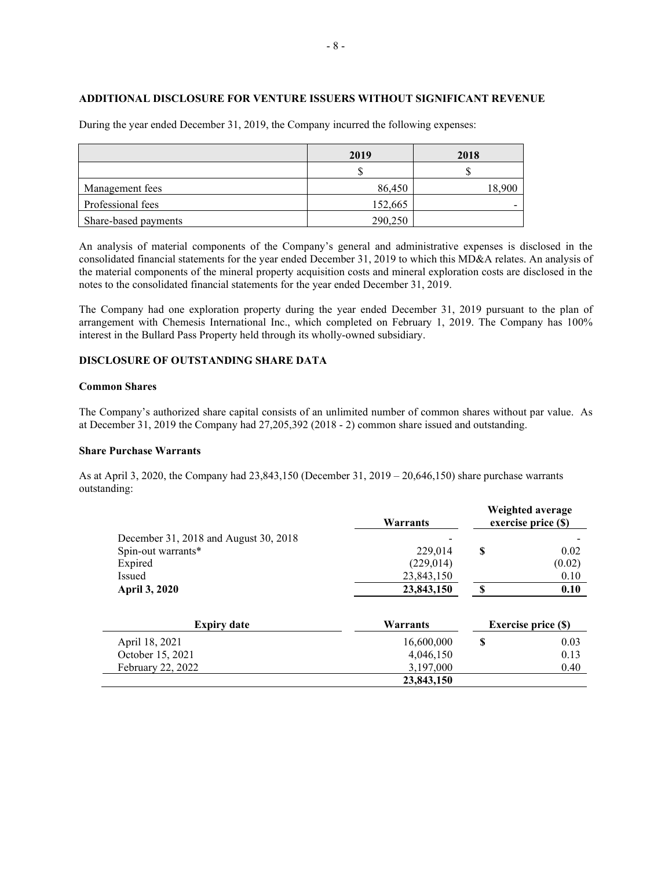## **ADDITIONAL DISCLOSURE FOR VENTURE ISSUERS WITHOUT SIGNIFICANT REVENUE**

|                      | 2019    | 2018   |  |
|----------------------|---------|--------|--|
|                      |         |        |  |
| Management fees      | 86,450  | 18,900 |  |
| Professional fees    | 152,665 |        |  |
| Share-based payments | 290,250 |        |  |

During the year ended December 31, 2019, the Company incurred the following expenses:

An analysis of material components of the Company's general and administrative expenses is disclosed in the consolidated financial statements for the year ended December 31, 2019 to which this MD&A relates. An analysis of the material components of the mineral property acquisition costs and mineral exploration costs are disclosed in the notes to the consolidated financial statements for the year ended December 31, 2019.

The Company had one exploration property during the year ended December 31, 2019 pursuant to the plan of arrangement with Chemesis International Inc., which completed on February 1, 2019. The Company has 100% interest in the Bullard Pass Property held through its wholly-owned subsidiary.

## **DISCLOSURE OF OUTSTANDING SHARE DATA**

## **Common Shares**

The Company's authorized share capital consists of an unlimited number of common shares without par value. As at December 31, 2019 the Company had 27,205,392 (2018 - 2) common share issued and outstanding.

## **Share Purchase Warrants**

As at April 3, 2020, the Company had 23,843,150 (December 31, 2019 – 20,646,150) share purchase warrants outstanding:

|                                       | Warrants   | Weighted average<br>exercise price (\$) |                            |
|---------------------------------------|------------|-----------------------------------------|----------------------------|
| December 31, 2018 and August 30, 2018 |            |                                         |                            |
| Spin-out warrants*                    | 229,014    | \$                                      | 0.02                       |
| Expired                               | (229, 014) |                                         | (0.02)                     |
| Issued                                | 23,843,150 |                                         | 0.10                       |
| <b>April 3, 2020</b>                  | 23,843,150 | <b>S</b>                                | 0.10                       |
| <b>Expiry date</b>                    | Warrants   |                                         | <b>Exercise price (\$)</b> |
| April 18, 2021                        | 16,600,000 | \$                                      | 0.03                       |
| October 15, 2021                      | 4,046,150  |                                         | 0.13                       |
| February 22, 2022                     | 3,197,000  |                                         | 0.40                       |
|                                       | 23,843,150 |                                         |                            |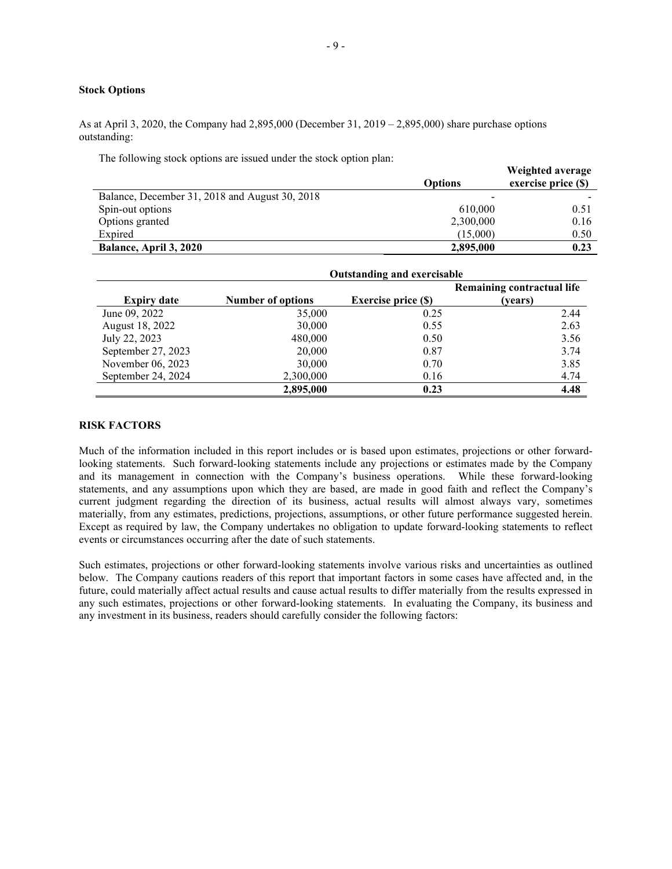## **Stock Options**

As at April 3, 2020, the Company had 2,895,000 (December 31, 2019 – 2,895,000) share purchase options outstanding:

The following stock options are issued under the stock option plan:

|                                                | <b>Options</b> | Weighted average<br>exercise price (\$) |
|------------------------------------------------|----------------|-----------------------------------------|
| Balance, December 31, 2018 and August 30, 2018 |                |                                         |
| Spin-out options                               | 610,000        | 0.51                                    |
| Options granted                                | 2,300,000      | 0.16                                    |
| Expired                                        | (15.000)       | 0.50                                    |
| Balance, April 3, 2020                         | 2,895,000      | 0.23                                    |

|                    | <b>Outstanding and exercisable</b> |                            |                                       |  |
|--------------------|------------------------------------|----------------------------|---------------------------------------|--|
| <b>Expiry date</b> | <b>Number of options</b>           | <b>Exercise price (\$)</b> | Remaining contractual life<br>(vears) |  |
| June 09, 2022      | 35,000                             | 0.25                       | 2.44                                  |  |
| August 18, 2022    | 30,000                             | 0.55                       | 2.63                                  |  |
| July 22, 2023      | 480,000                            | 0.50                       | 3.56                                  |  |
| September 27, 2023 | 20,000                             | 0.87                       | 3.74                                  |  |
| November 06, 2023  | 30,000                             | 0.70                       | 3.85                                  |  |
| September 24, 2024 | 2,300,000                          | 0.16                       | 4.74                                  |  |
|                    | 2,895,000                          | 0.23                       | 4.48                                  |  |

#### **RISK FACTORS**

Much of the information included in this report includes or is based upon estimates, projections or other forwardlooking statements. Such forward-looking statements include any projections or estimates made by the Company and its management in connection with the Company's business operations. While these forward-looking statements, and any assumptions upon which they are based, are made in good faith and reflect the Company's current judgment regarding the direction of its business, actual results will almost always vary, sometimes materially, from any estimates, predictions, projections, assumptions, or other future performance suggested herein. Except as required by law, the Company undertakes no obligation to update forward-looking statements to reflect events or circumstances occurring after the date of such statements.

Such estimates, projections or other forward-looking statements involve various risks and uncertainties as outlined below. The Company cautions readers of this report that important factors in some cases have affected and, in the future, could materially affect actual results and cause actual results to differ materially from the results expressed in any such estimates, projections or other forward-looking statements. In evaluating the Company, its business and any investment in its business, readers should carefully consider the following factors: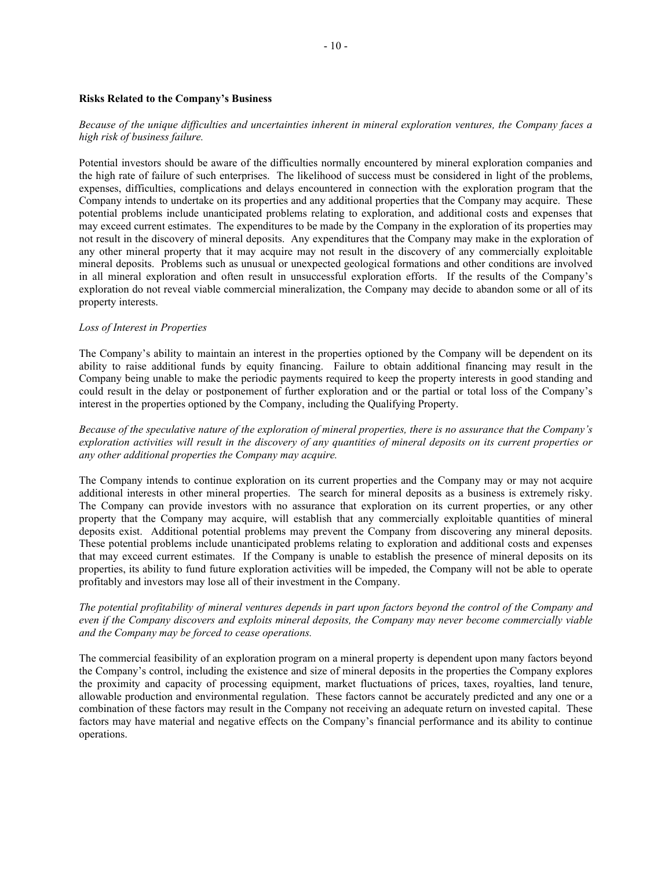#### **Risks Related to the Company's Business**

### *Because of the unique difficulties and uncertainties inherent in mineral exploration ventures, the Company faces a high risk of business failure.*

Potential investors should be aware of the difficulties normally encountered by mineral exploration companies and the high rate of failure of such enterprises. The likelihood of success must be considered in light of the problems, expenses, difficulties, complications and delays encountered in connection with the exploration program that the Company intends to undertake on its properties and any additional properties that the Company may acquire. These potential problems include unanticipated problems relating to exploration, and additional costs and expenses that may exceed current estimates. The expenditures to be made by the Company in the exploration of its properties may not result in the discovery of mineral deposits. Any expenditures that the Company may make in the exploration of any other mineral property that it may acquire may not result in the discovery of any commercially exploitable mineral deposits. Problems such as unusual or unexpected geological formations and other conditions are involved in all mineral exploration and often result in unsuccessful exploration efforts. If the results of the Company's exploration do not reveal viable commercial mineralization, the Company may decide to abandon some or all of its property interests.

#### *Loss of Interest in Properties*

The Company's ability to maintain an interest in the properties optioned by the Company will be dependent on its ability to raise additional funds by equity financing. Failure to obtain additional financing may result in the Company being unable to make the periodic payments required to keep the property interests in good standing and could result in the delay or postponement of further exploration and or the partial or total loss of the Company's interest in the properties optioned by the Company, including the Qualifying Property.

*Because of the speculative nature of the exploration of mineral properties, there is no assurance that the Company's exploration activities will result in the discovery of any quantities of mineral deposits on its current properties or any other additional properties the Company may acquire.*

The Company intends to continue exploration on its current properties and the Company may or may not acquire additional interests in other mineral properties. The search for mineral deposits as a business is extremely risky. The Company can provide investors with no assurance that exploration on its current properties, or any other property that the Company may acquire, will establish that any commercially exploitable quantities of mineral deposits exist. Additional potential problems may prevent the Company from discovering any mineral deposits. These potential problems include unanticipated problems relating to exploration and additional costs and expenses that may exceed current estimates. If the Company is unable to establish the presence of mineral deposits on its properties, its ability to fund future exploration activities will be impeded, the Company will not be able to operate profitably and investors may lose all of their investment in the Company.

## *The potential profitability of mineral ventures depends in part upon factors beyond the control of the Company and even if the Company discovers and exploits mineral deposits, the Company may never become commercially viable and the Company may be forced to cease operations.*

The commercial feasibility of an exploration program on a mineral property is dependent upon many factors beyond the Company's control, including the existence and size of mineral deposits in the properties the Company explores the proximity and capacity of processing equipment, market fluctuations of prices, taxes, royalties, land tenure, allowable production and environmental regulation. These factors cannot be accurately predicted and any one or a combination of these factors may result in the Company not receiving an adequate return on invested capital. These factors may have material and negative effects on the Company's financial performance and its ability to continue operations.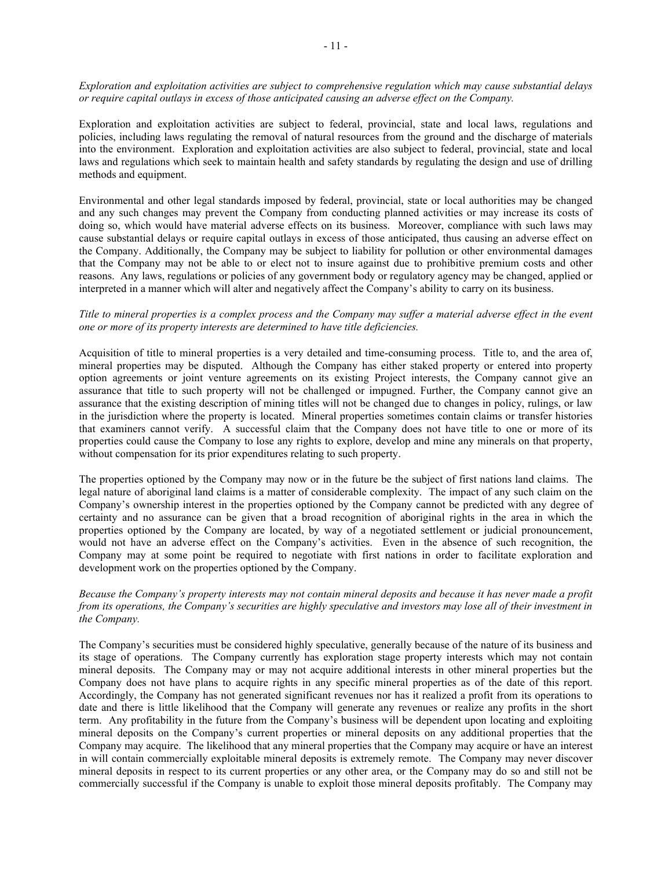*Exploration and exploitation activities are subject to comprehensive regulation which may cause substantial delays or require capital outlays in excess of those anticipated causing an adverse effect on the Company.*

Exploration and exploitation activities are subject to federal, provincial, state and local laws, regulations and policies, including laws regulating the removal of natural resources from the ground and the discharge of materials into the environment. Exploration and exploitation activities are also subject to federal, provincial, state and local laws and regulations which seek to maintain health and safety standards by regulating the design and use of drilling methods and equipment.

Environmental and other legal standards imposed by federal, provincial, state or local authorities may be changed and any such changes may prevent the Company from conducting planned activities or may increase its costs of doing so, which would have material adverse effects on its business. Moreover, compliance with such laws may cause substantial delays or require capital outlays in excess of those anticipated, thus causing an adverse effect on the Company. Additionally, the Company may be subject to liability for pollution or other environmental damages that the Company may not be able to or elect not to insure against due to prohibitive premium costs and other reasons. Any laws, regulations or policies of any government body or regulatory agency may be changed, applied or interpreted in a manner which will alter and negatively affect the Company's ability to carry on its business.

## *Title to mineral properties is a complex process and the Company may suffer a material adverse effect in the event one or more of its property interests are determined to have title deficiencies.*

Acquisition of title to mineral properties is a very detailed and time-consuming process. Title to, and the area of, mineral properties may be disputed. Although the Company has either staked property or entered into property option agreements or joint venture agreements on its existing Project interests, the Company cannot give an assurance that title to such property will not be challenged or impugned. Further, the Company cannot give an assurance that the existing description of mining titles will not be changed due to changes in policy, rulings, or law in the jurisdiction where the property is located. Mineral properties sometimes contain claims or transfer histories that examiners cannot verify. A successful claim that the Company does not have title to one or more of its properties could cause the Company to lose any rights to explore, develop and mine any minerals on that property, without compensation for its prior expenditures relating to such property.

The properties optioned by the Company may now or in the future be the subject of first nations land claims. The legal nature of aboriginal land claims is a matter of considerable complexity. The impact of any such claim on the Company's ownership interest in the properties optioned by the Company cannot be predicted with any degree of certainty and no assurance can be given that a broad recognition of aboriginal rights in the area in which the properties optioned by the Company are located, by way of a negotiated settlement or judicial pronouncement, would not have an adverse effect on the Company's activities. Even in the absence of such recognition, the Company may at some point be required to negotiate with first nations in order to facilitate exploration and development work on the properties optioned by the Company.

## *Because the Company's property interests may not contain mineral deposits and because it has never made a profit from its operations, the Company's securities are highly speculative and investors may lose all of their investment in the Company.*

The Company's securities must be considered highly speculative, generally because of the nature of its business and its stage of operations. The Company currently has exploration stage property interests which may not contain mineral deposits. The Company may or may not acquire additional interests in other mineral properties but the Company does not have plans to acquire rights in any specific mineral properties as of the date of this report. Accordingly, the Company has not generated significant revenues nor has it realized a profit from its operations to date and there is little likelihood that the Company will generate any revenues or realize any profits in the short term. Any profitability in the future from the Company's business will be dependent upon locating and exploiting mineral deposits on the Company's current properties or mineral deposits on any additional properties that the Company may acquire. The likelihood that any mineral properties that the Company may acquire or have an interest in will contain commercially exploitable mineral deposits is extremely remote. The Company may never discover mineral deposits in respect to its current properties or any other area, or the Company may do so and still not be commercially successful if the Company is unable to exploit those mineral deposits profitably. The Company may